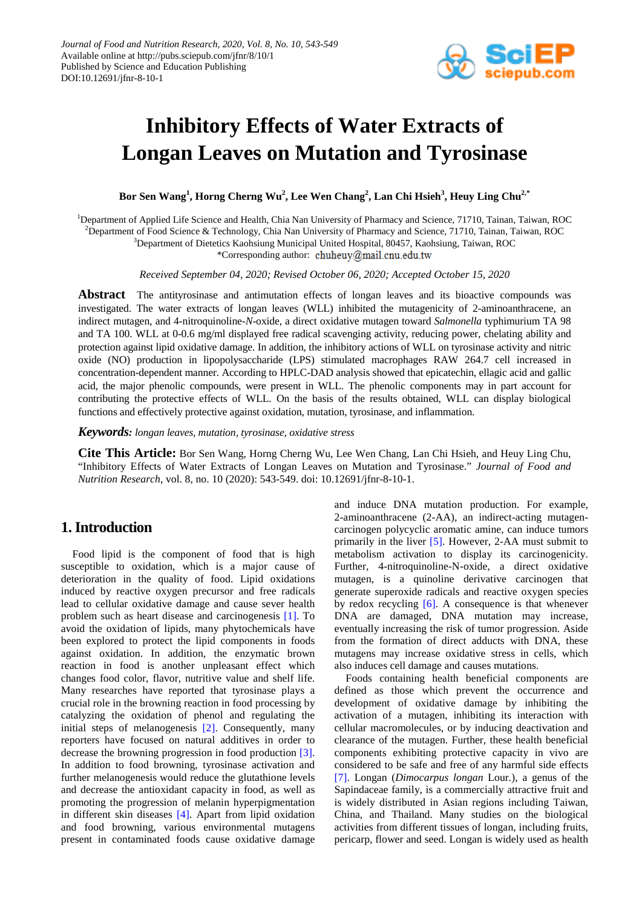

# **Inhibitory Effects of Water Extracts of Longan Leaves on Mutation and Tyrosinase**

 $\mathbf{B}$ or Sen Wang $^1$ , Horng Cherng Wu $^2$ , Lee Wen Chang $^2$ , Lan Chi Hsieh $^3$ , Heuy Ling Chu $^{2,*}$ 

<sup>1</sup>Department of Applied Life Science and Health, Chia Nan University of Pharmacy and Science, 71710, Tainan, Taiwan, ROC

2 Department of Food Science & Technology, Chia Nan University of Pharmacy and Science, 71710, Tainan, Taiwan, ROC

3 Department of Dietetics Kaohsiung Municipal United Hospital, 80457, Kaohsiung, Taiwan, ROC

\*Corresponding author: chuheuy@mail.cnu.edu.tw

*Received September 04, 2020; Revised October 06, 2020; Accepted October 15, 2020*

Abstract The antityrosinase and antimutation effects of longan leaves and its bioactive compounds was investigated. The water extracts of longan leaves (WLL) inhibited the mutagenicity of 2-aminoanthracene, an indirect mutagen, and 4-nitroquinoline-*N*-oxide, a direct oxidative mutagen toward *Salmonella* typhimurium TA 98 and TA 100. WLL at 0-0.6 mg/ml displayed free radical scavenging activity, reducing power, chelating ability and protection against lipid oxidative damage. In addition, the inhibitory actions of WLL on tyrosinase activity and nitric oxide (NO) production in lipopolysaccharide (LPS) stimulated macrophages RAW 264.7 cell increased in concentration-dependent manner. According to HPLC-DAD analysis showed that epicatechin, ellagic acid and gallic acid, the major phenolic compounds, were present in WLL. The phenolic components may in part account for contributing the protective effects of WLL. On the basis of the results obtained, WLL can display biological functions and effectively protective against oxidation, mutation, tyrosinase, and inflammation.

*Keywords: longan leaves, mutation, tyrosinase, oxidative stress*

**Cite This Article:** Bor Sen Wang, Horng Cherng Wu, Lee Wen Chang, Lan Chi Hsieh, and Heuy Ling Chu, "Inhibitory Effects of Water Extracts of Longan Leaves on Mutation and Tyrosinase." *Journal of Food and Nutrition Research*, vol. 8, no. 10 (2020): 543-549. doi: 10.12691/jfnr-8-10-1.

# **1. Introduction**

Food lipid is the component of food that is high susceptible to oxidation, which is a major cause of deterioration in the quality of food. Lipid oxidations induced by reactive oxygen precursor and free radicals lead to cellular oxidative damage and cause sever health problem such as heart disease and carcinogenesis [\[1\].](#page-6-0) To avoid the oxidation of lipids, many phytochemicals have been explored to protect the lipid components in foods against oxidation. In addition, the enzymatic brown reaction in food is another unpleasant effect which changes food color, flavor, nutritive value and shelf life. Many researches have reported that tyrosinase plays a crucial role in the browning reaction in food processing by catalyzing the oxidation of phenol and regulating the initial steps of melanogenesis [\[2\].](#page-6-1) Consequently, many reporters have focused on natural additives in order to decrease the browning progression in food production [\[3\].](#page-6-2) In addition to food browning, tyrosinase activation and further melanogenesis would reduce the glutathione levels and decrease the antioxidant capacity in food, as well as promoting the progression of melanin hyperpigmentation in different skin diseases [\[4\].](#page-6-3) Apart from lipid oxidation and food browning, various environmental mutagens present in contaminated foods cause oxidative damage and induce DNA mutation production. For example, 2-aminoanthracene (2-AA), an indirect-acting mutagencarcinogen polycyclic aromatic amine, can induce tumors primarily in the liver [\[5\].](#page-6-4) However, 2-AA must submit to metabolism activation to display its carcinogenicity. Further, 4-nitroquinoline-N-oxide, a direct oxidative mutagen, is a quinoline derivative carcinogen that generate superoxide radicals and reactive oxygen species by redox recycling [\[6\].](#page-6-5) A consequence is that whenever DNA are damaged, DNA mutation may increase, eventually increasing the risk of tumor progression. Aside from the formation of direct adducts with DNA, these mutagens may increase oxidative stress in cells, which also induces cell damage and causes mutations.

Foods containing health beneficial components are defined as those which prevent the occurrence and development of oxidative damage by inhibiting the activation of a mutagen, inhibiting its interaction with cellular macromolecules, or by inducing deactivation and clearance of the mutagen. Further, these health beneficial components exhibiting protective capacity in vivo are considered to be safe and free of any harmful side effects [\[7\].](#page-6-6) Longan (*Dimocarpus longan* Lour*.*), a genus of the Sapindaceae family, is a commercially attractive fruit and is widely distributed in Asian regions including Taiwan, China, and Thailand. Many studies on the biological activities from different tissues of longan, including fruits, pericarp, flower and seed. Longan is widely used as health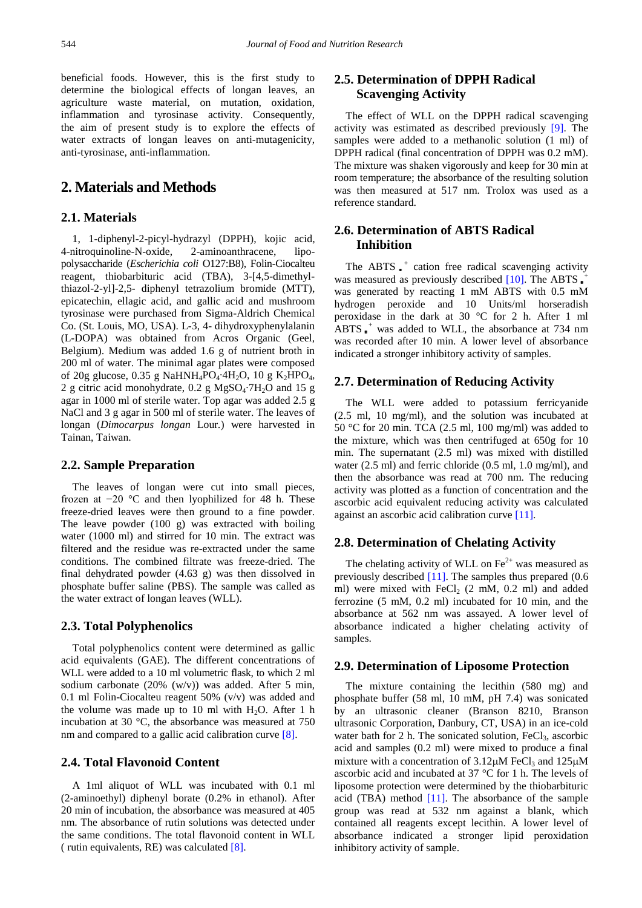beneficial foods. However, this is the first study to determine the biological effects of longan leaves, an agriculture waste material, on mutation, oxidation, inflammation and tyrosinase activity. Consequently, the aim of present study is to explore the effects of water extracts of longan leaves on anti-mutagenicity, anti-tyrosinase, anti-inflammation.

# **2. Materials and Methods**

#### **2.1. Materials**

1, 1-diphenyl-2-picyl-hydrazyl (DPPH), kojic acid, 4-nitroquinoline-N-oxide, 2-aminoanthracene, lipopolysaccharide (*Escherichia coli* O127:B8), Folin-Ciocalteu reagent, thiobarbituric acid (TBA), 3-[4,5-dimethylthiazol-2-yl]-2,5- diphenyl tetrazolium bromide (MTT), epicatechin, ellagic acid, and gallic acid and mushroom tyrosinase were purchased from Sigma-Aldrich Chemical Co. (St. Louis, MO, USA). L-3, 4- dihydroxyphenylalanin (L-DOPA) was obtained from Acros Organic (Geel, Belgium). Medium was added 1.6 g of nutrient broth in 200 ml of water. The minimal agar plates were composed of 20g glucose, 0.35 g NaHNH<sub>4</sub>PO<sub>4</sub>·4H<sub>2</sub>O, 10 g K<sub>2</sub>HPO<sub>4</sub>, 2 g citric acid monohydrate,  $0.2$  g MgSO<sub>4</sub> $7H<sub>2</sub>O$  and 15 g agar in 1000 ml of sterile water. Top agar was added 2.5 g NaCl and 3 g agar in 500 ml of sterile water. The leaves of longan (*Dimocarpus longan* Lour*.*) were harvested in Tainan, Taiwan.

#### **2.2. Sample Preparation**

The leaves of longan were cut into small pieces, frozen at −20 °C and then lyophilized for 48 h. These freeze-dried leaves were then ground to a fine powder. The leave powder (100 g) was extracted with boiling water (1000 ml) and stirred for 10 min. The extract was filtered and the residue was re-extracted under the same conditions. The combined filtrate was freeze-dried. The final dehydrated powder (4.63 g) was then dissolved in phosphate buffer saline (PBS). The sample was called as the water extract of longan leaves (WLL).

#### **2.3. Total Polyphenolics**

Total polyphenolics content were determined as gallic acid equivalents (GAE). The different concentrations of WLL were added to a 10 ml volumetric flask, to which 2 ml sodium carbonate (20% (w/v)) was added. After 5 min, 0.1 ml Folin-Ciocalteu reagent 50% (v/v) was added and the volume was made up to 10 ml with  $H_2O$ . After 1 h incubation at 30 °C, the absorbance was measured at 750 nm and compared to a gallic acid calibration curve [\[8\].](#page-6-7)

#### **2.4. Total Flavonoid Content**

A 1ml aliquot of WLL was incubated with 0.1 ml (2-aminoethyl) diphenyl borate (0.2% in ethanol). After 20 min of incubation, the absorbance was measured at 405 nm. The absorbance of rutin solutions was detected under the same conditions. The total flavonoid content in WLL ( rutin equivalents, RE) was calculated [\[8\].](#page-6-7)

# **2.5. Determination of DPPH Radical Scavenging Activity**

The effect of WLL on the DPPH radical scavenging activity was estimated as described previously [\[9\].](#page-6-8) The samples were added to a methanolic solution (1 ml) of DPPH radical (final concentration of DPPH was 0.2 mM). The mixture was shaken vigorously and keep for 30 min at room temperature; the absorbance of the resulting solution was then measured at 517 nm. Trolox was used as a reference standard.

## **2.6. Determination of ABTS Radical Inhibition**

The ABTS $_{\bullet}$ <sup>+</sup> cation free radical scavenging activity was measured as previously described  $[10]$ . The ABTS  $<sub>*</sub>$ <sup>+</sup></sub> was generated by reacting 1 mM ABTS with 0.5 mM hydrogen peroxide and 10 Units/ml horseradish peroxidase in the dark at 30 °C for 2 h. After 1 ml ABTS <sup>+</sup> was added to WLL, the absorbance at 734 nm was recorded after 10 min. A lower level of absorbance indicated a stronger inhibitory activity of samples.

#### **2.7. Determination of Reducing Activity**

The WLL were added to potassium ferricyanide (2.5 ml, 10 mg/ml), and the solution was incubated at 50 °C for 20 min. TCA (2.5 ml, 100 mg/ml) was added to the mixture, which was then centrifuged at 650g for 10 min. The supernatant (2.5 ml) was mixed with distilled water (2.5 ml) and ferric chloride (0.5 ml, 1.0 mg/ml), and then the absorbance was read at 700 nm. The reducing activity was plotted as a function of concentration and the ascorbic acid equivalent reducing activity was calculated against an ascorbic acid calibration curve [\[11\].](#page-6-10)

## **2.8. Determination of Chelating Activity**

The chelating activity of WLL on  $\text{Fe}^{2+}$  was measured as previously described [\[11\].](#page-6-10) The samples thus prepared (0.6 ml) were mixed with  $FeCl<sub>2</sub>$  (2 mM, 0.2 ml) and added ferrozine (5 mM, 0.2 ml) incubated for 10 min, and the absorbance at 562 nm was assayed. A lower level of absorbance indicated a higher chelating activity of samples.

## **2.9. Determination of Liposome Protection**

The mixture containing the lecithin (580 mg) and phosphate buffer (58 ml, 10 mM, pH 7.4) was sonicated by an ultrasonic cleaner (Branson 8210, Branson ultrasonic Corporation, Danbury, CT, USA) in an ice-cold water bath for 2 h. The sonicated solution,  $FeCl<sub>3</sub>$ , ascorbic acid and samples (0.2 ml) were mixed to produce a final mixture with a concentration of  $3.12\mu$ M FeCl<sub>3</sub> and  $125\mu$ M ascorbic acid and incubated at 37 °C for 1 h. The levels of liposome protection were determined by the thiobarbituric acid (TBA) method  $[11]$ . The absorbance of the sample group was read at 532 nm against a blank, which contained all reagents except lecithin. A lower level of absorbance indicated a stronger lipid peroxidation inhibitory activity of sample.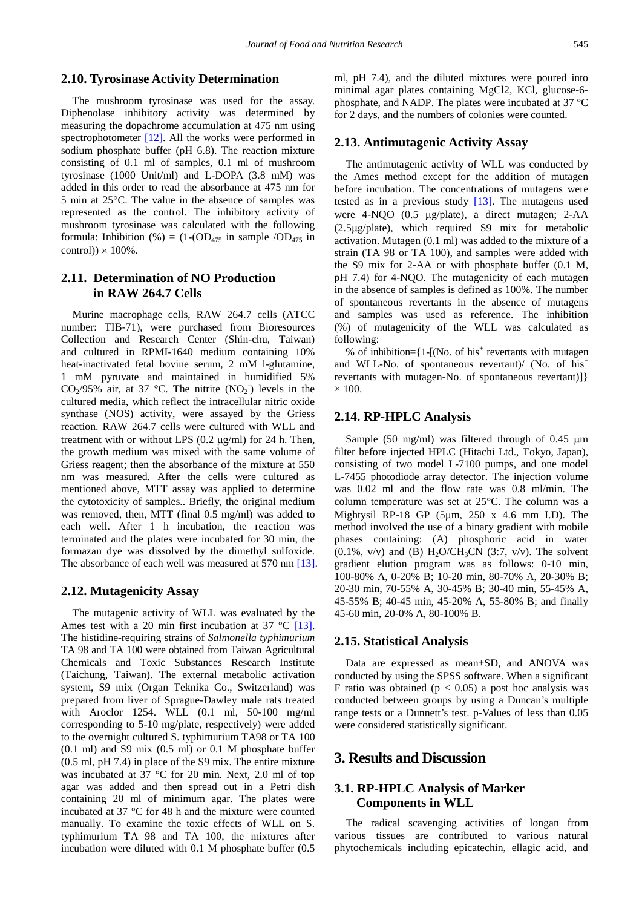## **2.10. Tyrosinase Activity Determination**

The mushroom tyrosinase was used for the assay. Diphenolase inhibitory activity was determined by measuring the dopachrome accumulation at 475 nm using spectrophotometer [\[12\].](#page-6-11) All the works were performed in sodium phosphate buffer (pH 6.8). The reaction mixture consisting of 0.1 ml of samples, 0.1 ml of mushroom tyrosinase (1000 Unit/ml) and L-DOPA (3.8 mM) was added in this order to read the absorbance at 475 nm for 5 min at 25°C. The value in the absence of samples was represented as the control. The inhibitory activity of mushroom tyrosinase was calculated with the following formula: Inhibition (%) =  $(1\text{-}(OD_{475} \text{ in sample } /OD_{475} \text{ in}$ control))  $\times$  100%.

## **2.11. Determination of NO Production in RAW 264.7 Cells**

Murine macrophage cells, RAW 264.7 cells (ATCC number: TIB-71), were purchased from Bioresources Collection and Research Center (Shin-chu, Taiwan) and cultured in RPMI-1640 medium containing 10% heat-inactivated fetal bovine serum, 2 mM l-glutamine, 1 mM pyruvate and maintained in humidified 5%  $CO_2/95\%$  air, at 37 °C. The nitrite (NO<sub>2</sub>) levels in the cultured media, which reflect the intracellular nitric oxide synthase (NOS) activity, were assayed by the Griess reaction. RAW 264.7 cells were cultured with WLL and treatment with or without LPS  $(0.2 \mu g/ml)$  for 24 h. Then, the growth medium was mixed with the same volume of Griess reagent; then the absorbance of the mixture at 550 nm was measured. After the cells were cultured as mentioned above, MTT assay was applied to determine the cytotoxicity of samples.. Briefly, the original medium was removed, then, MTT (final 0.5 mg/ml) was added to each well. After 1 h incubation, the reaction was terminated and the plates were incubated for 30 min, the formazan dye was dissolved by the dimethyl sulfoxide. The absorbance of each well was measured at 570 nm [\[13\].](#page-6-12)

#### **2.12. Mutagenicity Assay**

The mutagenic activity of WLL was evaluated by the Ames test with a 20 min first incubation at 37  $^{\circ}$ C [\[13\].](#page-6-12) The histidine-requiring strains of *Salmonella typhimurium* TA 98 and TA 100 were obtained from Taiwan Agricultural Chemicals and Toxic Substances Research Institute (Taichung, Taiwan). The external metabolic activation system, S9 mix (Organ Teknika Co., Switzerland) was prepared from liver of Sprague-Dawley male rats treated with Aroclor 1254. WLL (0.1 ml, 50-100 mg/ml corresponding to 5-10 mg/plate, respectively) were added to the overnight cultured S. typhimurium TA98 or TA 100  $(0.1 \text{ ml})$  and S9 mix  $(0.5 \text{ ml})$  or 0.1 M phosphate buffer (0.5 ml, pH 7.4) in place of the S9 mix. The entire mixture was incubated at 37 °C for 20 min. Next, 2.0 ml of top agar was added and then spread out in a Petri dish containing 20 ml of minimum agar. The plates were incubated at 37 °C for 48 h and the mixture were counted manually. To examine the toxic effects of WLL on S. typhimurium TA 98 and TA 100, the mixtures after incubation were diluted with 0.1 M phosphate buffer (0.5

ml, pH 7.4), and the diluted mixtures were poured into minimal agar plates containing MgCl2, KCl, glucose-6 phosphate, and NADP. The plates were incubated at 37 °C for 2 days, and the numbers of colonies were counted.

## **2.13. Antimutagenic Activity Assay**

The antimutagenic activity of WLL was conducted by the Ames method except for the addition of mutagen before incubation. The concentrations of mutagens were tested as in a previous study [\[13\].](#page-6-12) The mutagens used were 4-NQO (0.5 µg/plate), a direct mutagen; 2-AA (2.5µg/plate), which required S9 mix for metabolic activation. Mutagen (0.1 ml) was added to the mixture of a strain (TA 98 or TA 100), and samples were added with the S9 mix for 2-AA or with phosphate buffer (0.1 M, pH 7.4) for 4-NQO. The mutagenicity of each mutagen in the absence of samples is defined as 100%. The number of spontaneous revertants in the absence of mutagens and samples was used as reference. The inhibition (%) of mutagenicity of the WLL was calculated as following:

% of inhibition= $\{1 - [(No. of his<sup>+</sup> reversants with mutagen]$ and WLL-No. of spontaneous revertant)/ (No. of his<sup>+</sup> revertants with mutagen-No. of spontaneous revertant)]}  $\times$  100.

#### **2.14. RP-HPLC Analysis**

Sample (50 mg/ml) was filtered through of 0.45  $\mu$ m filter before injected HPLC (Hitachi Ltd., Tokyo, Japan), consisting of two model L-7100 pumps, and one model L-7455 photodiode array detector. The injection volume was 0.02 ml and the flow rate was 0.8 ml/min. The column temperature was set at 25°C. The column was a Mightysil RP-18 GP (5µm, 250 x 4.6 mm I.D). The method involved the use of a binary gradient with mobile phases containing: (A) phosphoric acid in water  $(0.1\%, v/v)$  and (B) H<sub>2</sub>O/CH<sub>3</sub>CN (3:7, v/v). The solvent gradient elution program was as follows: 0-10 min, 100-80% A, 0-20% B; 10-20 min, 80-70% A, 20-30% B; 20-30 min, 70-55% A, 30-45% B; 30-40 min, 55-45% A, 45-55% B; 40-45 min, 45-20% A, 55-80% B; and finally 45-60 min, 20-0% A, 80-100% B.

## **2.15. Statistical Analysis**

Data are expressed as mean±SD, and ANOVA was conducted by using the SPSS software. When a significant F ratio was obtained ( $p < 0.05$ ) a post hoc analysis was conducted between groups by using a Duncan's multiple range tests or a Dunnett's test. p-Values of less than 0.05 were considered statistically significant.

## **3. Results and Discussion**

# **3.1. RP-HPLC Analysis of Marker Components in WLL**

The radical scavenging activities of longan from various tissues are contributed to various natural phytochemicals including epicatechin, ellagic acid, and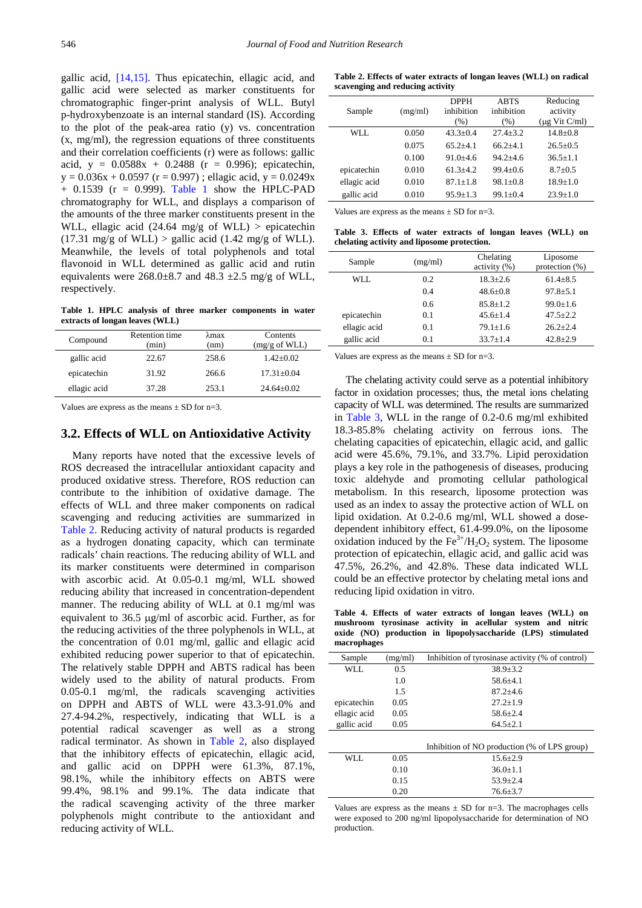gallic acid, [\[14,15\].](#page-6-13) Thus epicatechin, ellagic acid, and gallic acid were selected as marker constituents for chromatographic finger-print analysis of WLL. Butyl p-hydroxybenzoate is an internal standard (IS). According to the plot of the peak-area ratio (y) vs. concentration (x, mg/ml), the regression equations of three constituents and their correlation coefficients (r) were as follows: gallic acid,  $y = 0.0588x + 0.2488$  ( $r = 0.996$ ); epicatechin,  $y = 0.036x + 0.0597$  (r = 0.997); ellagic acid, y = 0.0249x  $+$  0.1539 (r = 0.999). [Table 1](#page-3-0) show the HPLC-PAD chromatography for WLL, and displays a comparison of the amounts of the three marker constituents present in the WLL, ellagic acid (24.64 mg/g of WLL) > epicatechin  $(17.31 \text{ mg/g of WLL})$  > gallic acid  $(1.42 \text{ mg/g of WLL})$ . Meanwhile, the levels of total polyphenols and total flavonoid in WLL determined as gallic acid and rutin equivalents were  $268.0\pm8.7$  and  $48.3 \pm 2.5$  mg/g of WLL, respectively.

**Table 1. HPLC analysis of three marker components in water extracts of longan leaves (WLL)**

<span id="page-3-0"></span>

|       |                       | Contents                |
|-------|-----------------------|-------------------------|
| (min) | (nm)                  | $(mg/g \text{ of WLL})$ |
| 22.67 | 258.6                 | $1.42 \pm 0.02$         |
| 31.92 | 266.6                 | $17.31 \pm 0.04$        |
| 37.28 | 253.1                 | $24.64 + 0.02$          |
|       | <b>Retention time</b> | λmax                    |

Values are express as the means  $\pm$  SD for n=3.

## **3.2. Effects of WLL on Antioxidative Activity**

Many reports have noted that the excessive levels of ROS decreased the intracellular antioxidant capacity and produced oxidative stress. Therefore, ROS reduction can contribute to the inhibition of oxidative damage. The effects of WLL and three maker components on radical scavenging and reducing activities are summarized in [Table 2.](#page-3-1) Reducing activity of natural products is regarded as a hydrogen donating capacity, which can terminate radicals' chain reactions. The reducing ability of WLL and its marker constituents were determined in comparison with ascorbic acid. At 0.05-0.1 mg/ml, WLL showed reducing ability that increased in concentration-dependent manner. The reducing ability of WLL at 0.1 mg/ml was equivalent to 36.5 µg/ml of ascorbic acid. Further, as for the reducing activities of the three polyphenols in WLL, at the concentration of 0.01 mg/ml, gallic and ellagic acid exhibited reducing power superior to that of epicatechin. The relatively stable DPPH and ABTS radical has been widely used to the ability of natural products. From 0.05-0.1 mg/ml, the radicals scavenging activities on DPPH and ABTS of WLL were 43.3-91.0% and 27.4-94.2%, respectively, indicating that WLL is a potential radical scavenger as well as a strong radical terminator. As shown in [Table 2,](#page-3-1) also displayed that the inhibitory effects of epicatechin, ellagic acid, and gallic acid on DPPH were 61.3%, 87.1%, 98.1%, while the inhibitory effects on ABTS were 99.4%, 98.1% and 99.1%. The data indicate that the radical scavenging activity of the three marker polyphenols might contribute to the antioxidant and reducing activity of WLL.

**Table 2. Effects of water extracts of longan leaves (WLL) on radical scavenging and reducing activity**

<span id="page-3-1"></span>

|              |         | <b>DPPH</b>  | <b>ABTS</b>  | Reducing           |
|--------------|---------|--------------|--------------|--------------------|
| Sample       | (mg/ml) | inhibition   | inhibition   | activity           |
|              |         | (% )         | (%)          | $(\mu g$ Vit C/ml) |
| WLL.         | 0.050   | $43.3 + 0.4$ | $27.4 + 3.2$ | $14.8 + 0.8$       |
|              | 0.075   | $65.2 + 4.1$ | $66.2 + 4.1$ | $26.5 + 0.5$       |
|              | 0.100   | $91.0 + 4.6$ | $942+46$     | $36.5 + 1.1$       |
| epicatechin  | 0.010   | $61.3 + 4.2$ | $99.4 + 0.6$ | $8.7 + 0.5$        |
| ellagic acid | 0.010   | $87.1 + 1.8$ | $98.1 + 0.8$ | $18.9 + 1.0$       |
| gallic acid  | 0.010   | $95.9 + 1.3$ | $99.1 + 0.4$ | $23.9 + 1.0$       |
|              |         |              |              |                    |

Values are express as the means  $\pm$  SD for n=3.

**Table 3. Effects of water extracts of longan leaves (WLL) on chelating activity and liposome protection.**

<span id="page-3-2"></span>

| Sample       | (mg/ml) | Chelating<br>activity (%) | Liposome<br>protection $(\%)$ |
|--------------|---------|---------------------------|-------------------------------|
| WLL.         | 0.2     | $18.3 + 2.6$              | $61.4 + 8.5$                  |
|              | 0.4     | $48.6 + 0.8$              | $97.8 + 5.1$                  |
|              | 0.6     | $85.8 + 1.2$              | $99.0 + 1.6$                  |
| epicatechin  | 0.1     | $45.6 + 1.4$              | $47.5 + 2.2$                  |
| ellagic acid | 0.1     | $79.1 + 1.6$              | $26.2 + 2.4$                  |
| gallic acid  | 0.1     | $33.7 + 1.4$              | $42.8 + 2.9$                  |

Values are express as the means  $\pm$  SD for n=3.

The chelating activity could serve as a potential inhibitory factor in oxidation processes; thus, the metal ions chelating capacity of WLL was determined. The results are summarized in [Table 3,](#page-3-2) WLL in the range of 0.2-0.6 mg/ml exhibited 18.3-85.8% chelating activity on ferrous ions. The chelating capacities of epicatechin, ellagic acid, and gallic acid were 45.6%, 79.1%, and 33.7%. Lipid peroxidation plays a key role in the pathogenesis of diseases, producing toxic aldehyde and promoting cellular pathological metabolism. In this research, liposome protection was used as an index to assay the protective action of WLL on lipid oxidation. At 0.2-0.6 mg/ml, WLL showed a dosedependent inhibitory effect, 61.4-99.0%, on the liposome oxidation induced by the  $Fe^{3+}/H_2O_2$  system. The liposome protection of epicatechin, ellagic acid, and gallic acid was 47.5%, 26.2%, and 42.8%. These data indicated WLL could be an effective protector by chelating metal ions and reducing lipid oxidation in vitro.

**Table 4. Effects of water extracts of longan leaves (WLL) on mushroom tyrosinase activity in acellular system and nitric oxide (NO) production in lipopolysaccharide (LPS) stimulated macrophages**

<span id="page-3-3"></span>

| Sample       | (mg/ml) | Inhibition of tyrosinase activity (% of control) |
|--------------|---------|--------------------------------------------------|
| WLL.         | 0.5     | $38.9 \pm 3.2$                                   |
|              | 1.0     | $58.6 + 4.1$                                     |
|              | 1.5     | $87.2 + 4.6$                                     |
| epicatechin  | 0.05    | $27.2 + 1.9$                                     |
| ellagic acid | 0.05    | $58.6 + 2.4$                                     |
| gallic acid  | 0.05    | $64.5 \pm 2.1$                                   |
|              |         |                                                  |
|              |         | Inhibition of NO production (% of LPS group)     |
| WLL.         | 0.05    | $15.6 + 2.9$                                     |
|              | 0.10    | $36.0 + 1.1$                                     |
|              | 0.15    | $53.9 + 2.4$                                     |
|              | 0.20    | $76.6 + 3.7$                                     |

Values are express as the means  $\pm$  SD for n=3. The macrophages cells were exposed to 200 ng/ml lipopolysaccharide for determination of NO production.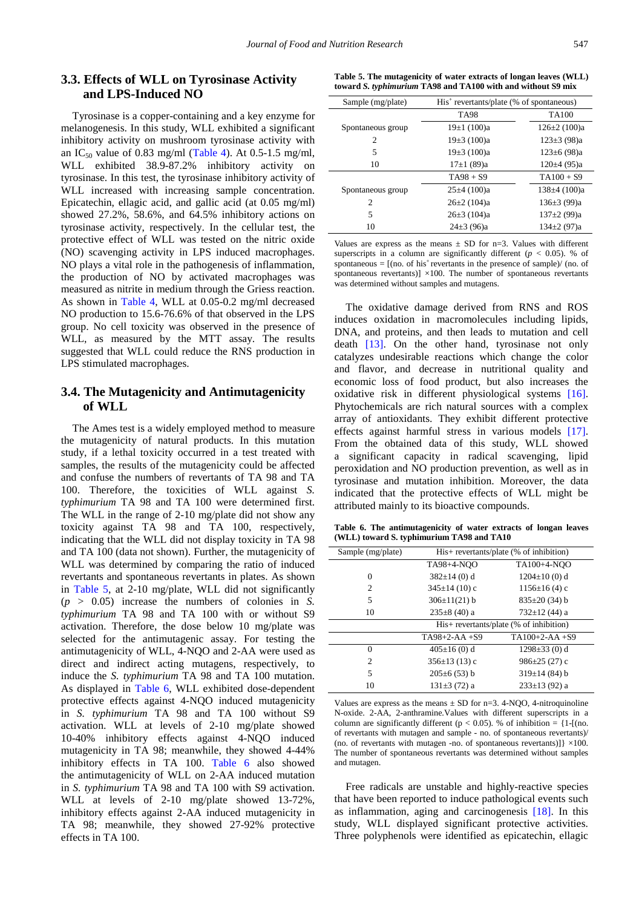# **3.3. Effects of WLL on Tyrosinase Activity and LPS-Induced NO**

Tyrosinase is a copper-containing and a key enzyme for melanogenesis. In this study, WLL exhibited a significant inhibitory activity on mushroom tyrosinase activity with an IC<sub>50</sub> value of 0.83 mg/ml [\(Table 4\)](#page-3-3). At 0.5-1.5 mg/ml, WLL exhibited 38.9-87.2% inhibitory activity on tyrosinase. In this test, the tyrosinase inhibitory activity of WLL increased with increasing sample concentration. Epicatechin, ellagic acid, and gallic acid (at 0.05 mg/ml) showed 27.2%, 58.6%, and 64.5% inhibitory actions on tyrosinase activity, respectively. In the cellular test, the protective effect of WLL was tested on the nitric oxide (NO) scavenging activity in LPS induced macrophages. NO plays a vital role in the pathogenesis of inflammation, the production of NO by activated macrophages was measured as nitrite in medium through the Griess reaction. As shown in [Table 4,](#page-3-3) WLL at 0.05-0.2 mg/ml decreased NO production to 15.6-76.6% of that observed in the LPS group. No cell toxicity was observed in the presence of WLL, as measured by the MTT assay. The results suggested that WLL could reduce the RNS production in LPS stimulated macrophages.

## **3.4. The Mutagenicity and Antimutagenicity of WLL**

The Ames test is a widely employed method to measure the mutagenicity of natural products. In this mutation study, if a lethal toxicity occurred in a test treated with samples, the results of the mutagenicity could be affected and confuse the numbers of revertants of TA 98 and TA 100. Therefore, the toxicities of WLL against *S. typhimurium* TA 98 and TA 100 were determined first. The WLL in the range of 2-10 mg/plate did not show any toxicity against TA 98 and TA 100, respectively, indicating that the WLL did not display toxicity in TA 98 and TA 100 (data not shown). Further, the mutagenicity of WLL was determined by comparing the ratio of induced revertants and spontaneous revertants in plates. As shown in [Table 5,](#page-4-0) at 2-10 mg/plate, WLL did not significantly  $(p > 0.05)$  increase the numbers of colonies in *S*. *typhimurium* TA 98 and TA 100 with or without S9 activation. Therefore, the dose below 10 mg/plate was selected for the antimutagenic assay. For testing the antimutagenicity of WLL, 4-NQO and 2-AA were used as direct and indirect acting mutagens, respectively, to induce the *S. typhimurium* TA 98 and TA 100 mutation. As displayed in [Table 6,](#page-4-1) WLL exhibited dose-dependent protective effects against 4-NQO induced mutagenicity in *S. typhimurium* TA 98 and TA 100 without S9 activation. WLL at levels of 2-10 mg/plate showed 10-40% inhibitory effects against 4-NQO induced mutagenicity in TA 98; meanwhile, they showed 4-44% inhibitory effects in TA 100. [Table 6](#page-4-1) also showed the antimutagenicity of WLL on 2-AA induced mutation in *S. typhimurium* TA 98 and TA 100 with S9 activation. WLL at levels of 2-10 mg/plate showed 13-72%, inhibitory effects against 2-AA induced mutagenicity in TA 98; meanwhile, they showed 27-92% protective effects in TA 100.

**Table 5. The mutagenicity of water extracts of longan leaves (WLL) toward** *S. typhimurium* **TA98 and TA100 with and without S9 mix**

<span id="page-4-0"></span>

| Sample (mg/plate) | $His+ revertants/plate$ (% of spontaneous) |                    |
|-------------------|--------------------------------------------|--------------------|
|                   | <b>TA98</b>                                | <b>TA100</b>       |
| Spontaneous group | 19±1(100)a                                 | $126 \pm 2$ (100)a |
| $\overline{c}$    | $19\pm3(100)a$                             | $123\pm3$ (98)a    |
| 5                 | $19\pm3(100)a$                             | $123 \pm 6$ (98)a  |
| 10                | $17\pm1(89)a$                              | $120±4$ (95)a      |
|                   | $TA98 + S9$                                | $TA100 + S9$       |
| Spontaneous group | $25\pm4(100)a$                             | $138\pm4(100)a$    |
| 2                 | $26\pm2(104)a$                             | $136\pm3(99)a$     |
| 5                 | $26\pm3(104)a$                             | $137\pm2(99)a$     |
| 10                | $24\pm3(96)a$                              | $134\pm2(97)a$     |

Values are express as the means  $\pm$  SD for n=3. Values with different superscripts in a column are significantly different ( $p < 0.05$ ). % of spontaneous =  $[(no. of his<sup>+</sup>revertants in the presence of sample) / (no. of)$ spontaneous revertants)]  $\times$ 100. The number of spontaneous revertants was determined without samples and mutagens.

The oxidative damage derived from RNS and ROS induces oxidation in macromolecules including lipids, DNA, and proteins, and then leads to mutation and cell death [\[13\].](#page-6-12) On the other hand, tyrosinase not only catalyzes undesirable reactions which change the color and flavor, and decrease in nutritional quality and economic loss of food product, but also increases the oxidative risk in different physiological systems [\[16\].](#page-6-14) Phytochemicals are rich natural sources with a complex array of antioxidants. They exhibit different protective effects against harmful stress in various models [\[17\].](#page-6-15) From the obtained data of this study, WLL showed a significant capacity in radical scavenging, lipid peroxidation and NO production prevention, as well as in tyrosinase and mutation inhibition. Moreover, the data indicated that the protective effects of WLL might be attributed mainly to its bioactive compounds.

**Table 6. The antimutagenicity of water extracts of longan leaves (WLL) toward S. typhimurium TA98 and TA10**

<span id="page-4-1"></span>

| Sample (mg/plate) | $His + revertants/plate$ (% of inhibition) |                     |  |
|-------------------|--------------------------------------------|---------------------|--|
|                   | TA98+4-NOO                                 | TA100+4-NOO         |  |
| $\theta$          | $382 \pm 14$ (0) d                         | $1204 \pm 10$ (0) d |  |
| 2                 | $345\pm14(10)$ c                           | $1156 \pm 16$ (4) c |  |
| 5                 | $306 \pm 11(21) b$                         | $835\pm20(34)$ b    |  |
| 10                | $235\pm8(40)$ a                            | $732 \pm 12$ (44) a |  |
|                   | His+ revertants/plate (% of inhibition)    |                     |  |
|                   | $TA98+2-AA+S9$                             | $TA100+2-AA+S9$     |  |
| $\theta$          | $405 \pm 16$ (0) d                         | $1298 \pm 33$ (0) d |  |
| $\overline{c}$    | $356\pm13(13)$ c                           | $986\pm25(27)$ c    |  |
| 5                 | $205\pm6(53)$ b                            | $319\pm14(84)$ b    |  |
| 10                | $131\pm3(72)$ a                            | $233\pm13$ (92) a   |  |

Values are express as the means  $\pm$  SD for n=3. 4-NQO, 4-nitroquinoline N-oxide. 2-AA, 2-anthramine.Values with different superscripts in a column are significantly different ( $p < 0.05$ ). % of inhibition = {1-[(no. of revertants with mutagen and sample - no. of spontaneous revertants)/ (no. of revertants with mutagen -no. of spontaneous revertants)] $\{ \times 100, \ldots \}$ The number of spontaneous revertants was determined without samples and mutagen.

Free radicals are unstable and highly-reactive species that have been reported to induce pathological events such as inflammation, aging and carcinogenesis [\[18\].](#page-6-16) In this study, WLL displayed significant protective activities. Three polyphenols were identified as epicatechin, ellagic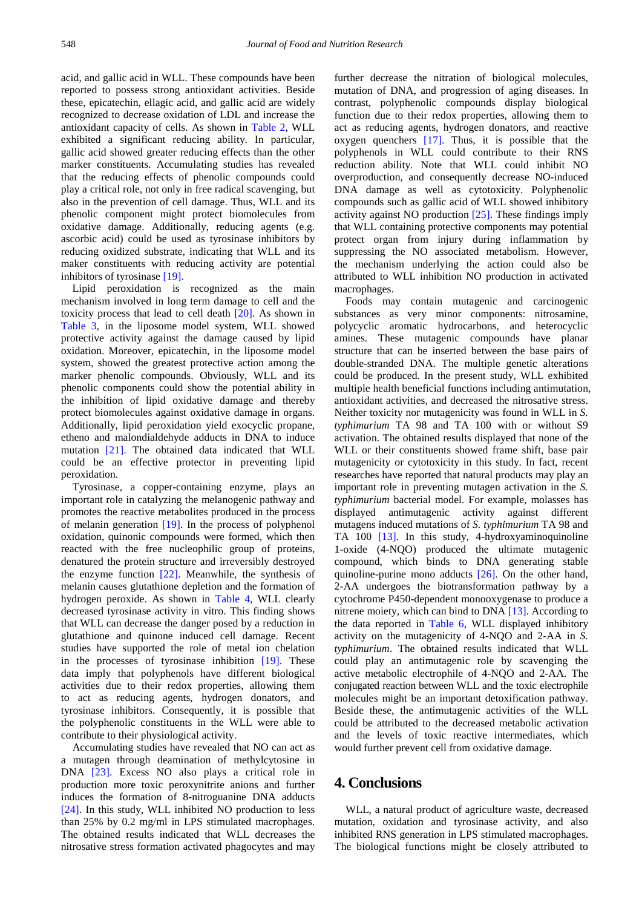acid, and gallic acid in WLL. These compounds have been reported to possess strong antioxidant activities. Beside these, epicatechin, ellagic acid, and gallic acid are widely recognized to decrease oxidation of LDL and increase the antioxidant capacity of cells. As shown in [Table 2,](#page-3-1) WLL exhibited a significant reducing ability. In particular, gallic acid showed greater reducing effects than the other marker constituents. Accumulating studies has revealed that the reducing effects of phenolic compounds could play a critical role, not only in free radical scavenging, but also in the prevention of cell damage. Thus, WLL and its phenolic component might protect biomolecules from oxidative damage. Additionally, reducing agents (e.g. ascorbic acid) could be used as tyrosinase inhibitors by reducing oxidized substrate, indicating that WLL and its maker constituents with reducing activity are potential inhibitors of tyrosinase [\[19\].](#page-6-17)

Lipid peroxidation is recognized as the main mechanism involved in long term damage to cell and the toxicity process that lead to cell death [\[20\].](#page-6-18) As shown in [Table 3,](#page-3-2) in the liposome model system, WLL showed protective activity against the damage caused by lipid oxidation. Moreover, epicatechin, in the liposome model system, showed the greatest protective action among the marker phenolic compounds. Obviously, WLL and its phenolic components could show the potential ability in the inhibition of lipid oxidative damage and thereby protect biomolecules against oxidative damage in organs. Additionally, lipid peroxidation yield exocyclic propane, etheno and malondialdehyde adducts in DNA to induce mutation [\[21\].](#page-6-19) The obtained data indicated that WLL could be an effective protector in preventing lipid peroxidation.

Tyrosinase, a copper-containing enzyme, plays an important role in catalyzing the melanogenic pathway and promotes the reactive metabolites produced in the process of melanin generation [\[19\].](#page-6-17) In the process of polyphenol oxidation, quinonic compounds were formed, which then reacted with the free nucleophilic group of proteins, denatured the protein structure and irreversibly destroyed the enzyme function [\[22\].](#page-6-20) Meanwhile, the synthesis of melanin causes glutathione depletion and the formation of hydrogen peroxide. As shown in [Table 4,](#page-3-3) WLL clearly decreased tyrosinase activity in vitro. This finding shows that WLL can decrease the danger posed by a reduction in glutathione and quinone induced cell damage. Recent studies have supported the role of metal ion chelation in the processes of tyrosinase inhibition [\[19\].](#page-6-17) These data imply that polyphenols have different biological activities due to their redox properties, allowing them to act as reducing agents, hydrogen donators, and tyrosinase inhibitors. Consequently, it is possible that the polyphenolic constituents in the WLL were able to contribute to their physiological activity.

Accumulating studies have revealed that NO can act as a mutagen through deamination of methylcytosine in DNA [\[23\].](#page-6-21) Excess NO also plays a critical role in production more toxic peroxynitrite anions and further induces the formation of 8-nitroguanine DNA adducts [\[24\].](#page-6-22) In this study, WLL inhibited NO production to less than 25% by 0.2 mg/ml in LPS stimulated macrophages. The obtained results indicated that WLL decreases the nitrosative stress formation activated phagocytes and may further decrease the nitration of biological molecules, mutation of DNA, and progression of aging diseases. In contrast, polyphenolic compounds display biological function due to their redox properties, allowing them to act as reducing agents, hydrogen donators, and reactive oxygen quenchers  $[17]$ . Thus, it is possible that the polyphenols in WLL could contribute to their RNS reduction ability. Note that WLL could inhibit NO overproduction, and consequently decrease NO-induced DNA damage as well as cytotoxicity. Polyphenolic compounds such as gallic acid of WLL showed inhibitory activity against NO production [\[25\].](#page-6-23) These findings imply that WLL containing protective components may potential protect organ from injury during inflammation by suppressing the NO associated metabolism. However, the mechanism underlying the action could also be attributed to WLL inhibition NO production in activated macrophages.

Foods may contain mutagenic and carcinogenic substances as very minor components: nitrosamine, polycyclic aromatic hydrocarbons, and heterocyclic amines. These mutagenic compounds have planar structure that can be inserted between the base pairs of double-stranded DNA. The multiple genetic alterations could be produced. In the present study, WLL exhibited multiple health beneficial functions including antimutation, antioxidant activities, and decreased the nitrosative stress. Neither toxicity nor mutagenicity was found in WLL in *S. typhimurium* TA 98 and TA 100 with or without S9 activation. The obtained results displayed that none of the WLL or their constituents showed frame shift, base pair mutagenicity or cytotoxicity in this study. In fact, recent researches have reported that natural products may play an important role in preventing mutagen activation in the *S. typhimurium* bacterial model. For example, molasses has displayed antimutagenic activity against different mutagens induced mutations of *S. typhimurium* TA 98 and TA 100 [\[13\].](#page-6-12) In this study, 4-hydroxyaminoquinoline 1-oxide (4-NQO) produced the ultimate mutagenic compound, which binds to DNA generating stable quinoline-purine mono adducts [\[26\].](#page-6-24) On the other hand, 2-AA undergoes the biotransformation pathway by a cytochrome P450-dependent monooxygenase to produce a nitrene moiety, which can bind to DNA [\[13\].](#page-6-12) According to the data reported in [Table 6,](#page-4-1) WLL displayed inhibitory activity on the mutagenicity of 4-NQO and 2-AA in *S. typhimurium*. The obtained results indicated that WLL could play an antimutagenic role by scavenging the active metabolic electrophile of 4-NQO and 2-AA. The conjugated reaction between WLL and the toxic electrophile molecules might be an important detoxification pathway. Beside these, the antimutagenic activities of the WLL could be attributed to the decreased metabolic activation and the levels of toxic reactive intermediates, which would further prevent cell from oxidative damage.

# **4. Conclusions**

WLL, a natural product of agriculture waste, decreased mutation, oxidation and tyrosinase activity, and also inhibited RNS generation in LPS stimulated macrophages. The biological functions might be closely attributed to